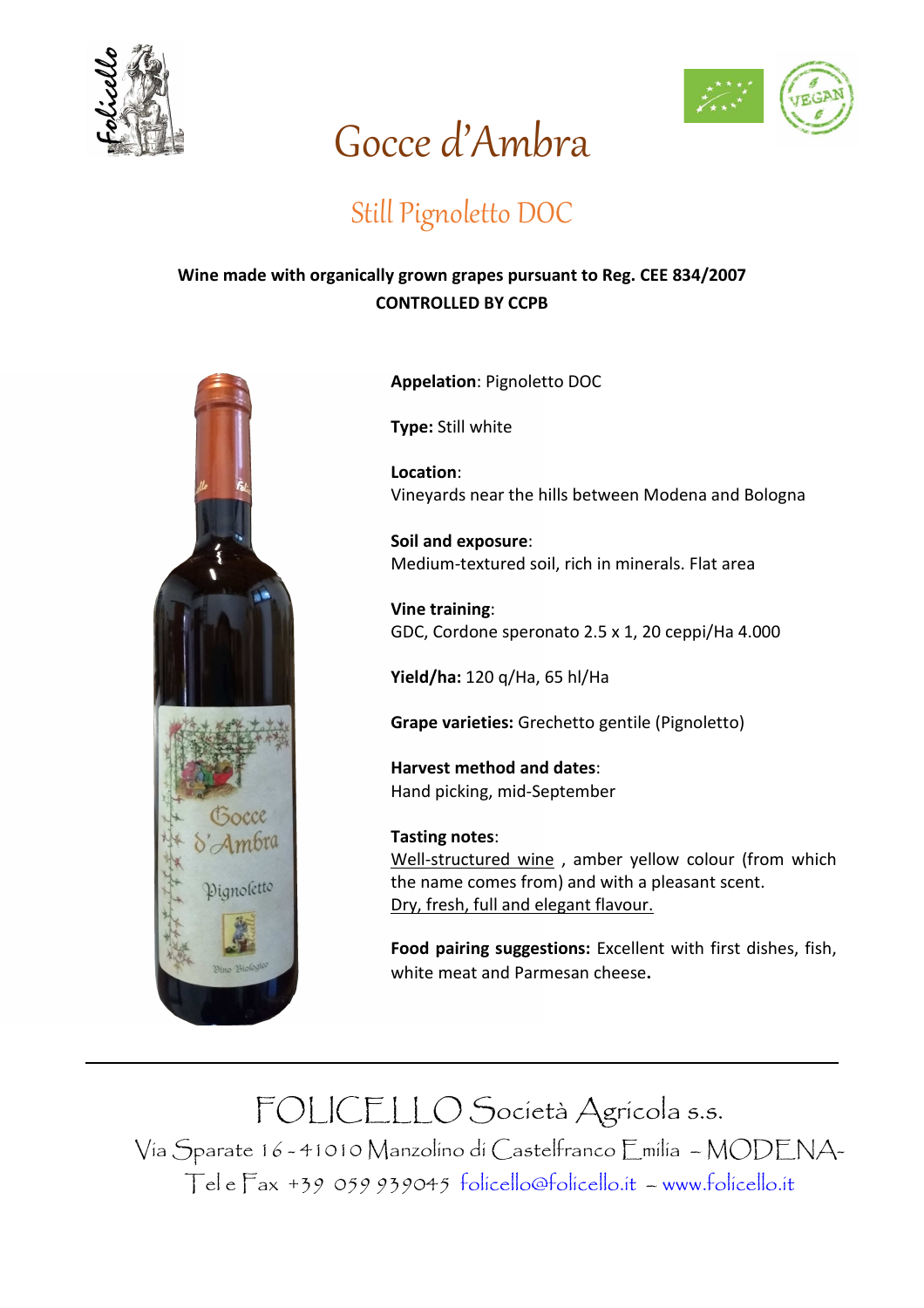



## Gocce d'Ambra

## Still Pignoletto DOC

## **Wine made with organically grown grapes pursuant to Reg. CEE 834/2007 CONTROLLED BY CCPB**



**Appelation**: Pignoletto DOC

**Type:** Still white

**Location**: Vineyards near the hills between Modena and Bologna

**Soil and exposure**: Medium-textured soil, rich in minerals. Flat area

**Vine training**: GDC, Cordone speronato 2.5 x 1, 20 ceppi/Ha 4.000

**Yield/ha:** 120 q/Ha, 65 hl/Ha

**Grape varieties:** Grechetto gentile (Pignoletto)

**Harvest method and dates**: Hand picking, mid-September

**Tasting notes**: Well-structured wine , amber yellow colour (from which the name comes from) and with a pleasant scent. Dry, fresh, full and elegant flavour.

**Food pairing suggestions:** Excellent with first dishes, fish, white meat and Parmesan cheese**.** 

FOLICELLO Società Agricola s.s. Via Sparate 16 - 41010 Manzolino di Castelfranco Emilia – MODENA-Tel e Fax +39 059 939045 folicello@folicello.it – www.folicello.it